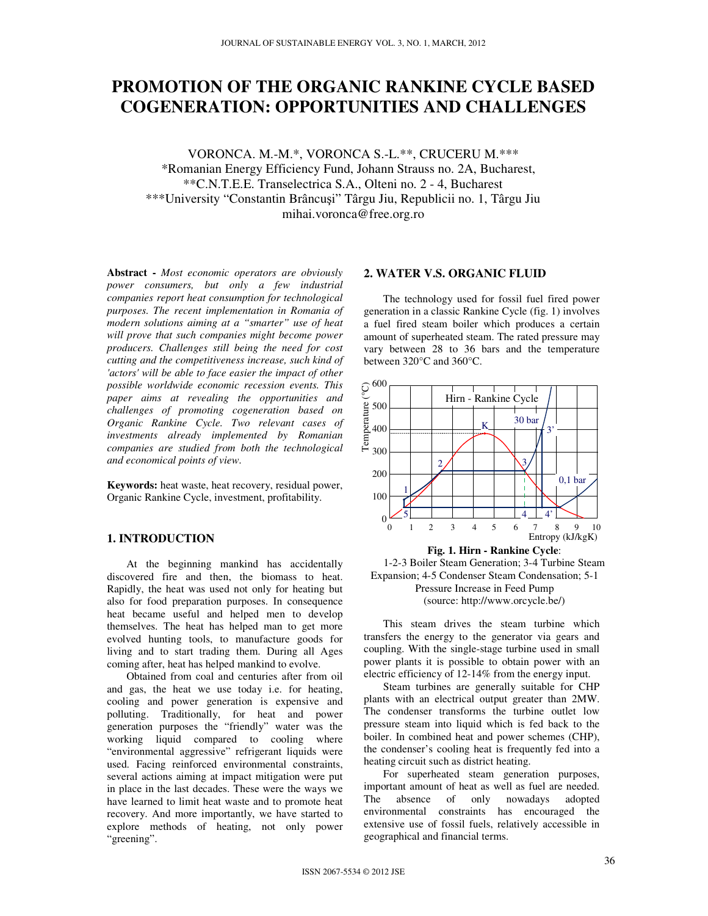# **PROMOTION OF THE ORGANIC RANKINE CYCLE BASED COGENERATION: OPPORTUNITIES AND CHALLENGES**

VORONCA. M.-M.\*, VORONCA S.-L.\*\*, CRUCERU M.\*\*\* \*Romanian Energy Efficiency Fund, Johann Strauss no. 2A, Bucharest, \*\*C.N.T.E.E. Transelectrica S.A., Olteni no. 2 - 4, Bucharest \*\*\*University "Constantin Brâncuşi" Târgu Jiu, Republicii no. 1, Târgu Jiu mihai.voronca@free.org.ro

**Abstract -** *Most economic operators are obviously power consumers, but only a few industrial companies report heat consumption for technological purposes. The recent implementation in Romania of modern solutions aiming at a "smarter" use of heat will prove that such companies might become power producers. Challenges still being the need for cost cutting and the competitiveness increase, such kind of 'actors' will be able to face easier the impact of other possible worldwide economic recession events. This paper aims at revealing the opportunities and challenges of promoting cogeneration based on Organic Rankine Cycle. Two relevant cases of investments already implemented by Romanian companies are studied from both the technological and economical points of view.*

**Keywords:** heat waste, heat recovery, residual power, Organic Rankine Cycle, investment, profitability.

## **1. INTRODUCTION**

At the beginning mankind has accidentally discovered fire and then, the biomass to heat. Rapidly, the heat was used not only for heating but also for food preparation purposes. In consequence heat became useful and helped men to develop themselves. The heat has helped man to get more evolved hunting tools, to manufacture goods for living and to start trading them. During all Ages coming after, heat has helped mankind to evolve.

Obtained from coal and centuries after from oil and gas, the heat we use today i.e. for heating, cooling and power generation is expensive and polluting. Traditionally, for heat and power generation purposes the "friendly" water was the working liquid compared to cooling where "environmental aggressive" refrigerant liquids were used. Facing reinforced environmental constraints, several actions aiming at impact mitigation were put in place in the last decades. These were the ways we have learned to limit heat waste and to promote heat recovery. And more importantly, we have started to explore methods of heating, not only power "greening".

# **2. WATER V.S. ORGANIC FLUID**

The technology used for fossil fuel fired power generation in a classic Rankine Cycle (fig. 1) involves a fuel fired steam boiler which produces a certain amount of superheated steam. The rated pressure may vary between 28 to 36 bars and the temperature between 320°C and 360°C.





This steam drives the steam turbine which transfers the energy to the generator via gears and coupling. With the single-stage turbine used in small power plants it is possible to obtain power with an electric efficiency of 12-14% from the energy input.

Steam turbines are generally suitable for CHP plants with an electrical output greater than 2MW. The condenser transforms the turbine outlet low pressure steam into liquid which is fed back to the boiler. In combined heat and power schemes (CHP), the condenser's cooling heat is frequently fed into a heating circuit such as district heating.

For superheated steam generation purposes, important amount of heat as well as fuel are needed. The absence of only nowadays adopted environmental constraints has encouraged the extensive use of fossil fuels, relatively accessible in geographical and financial terms.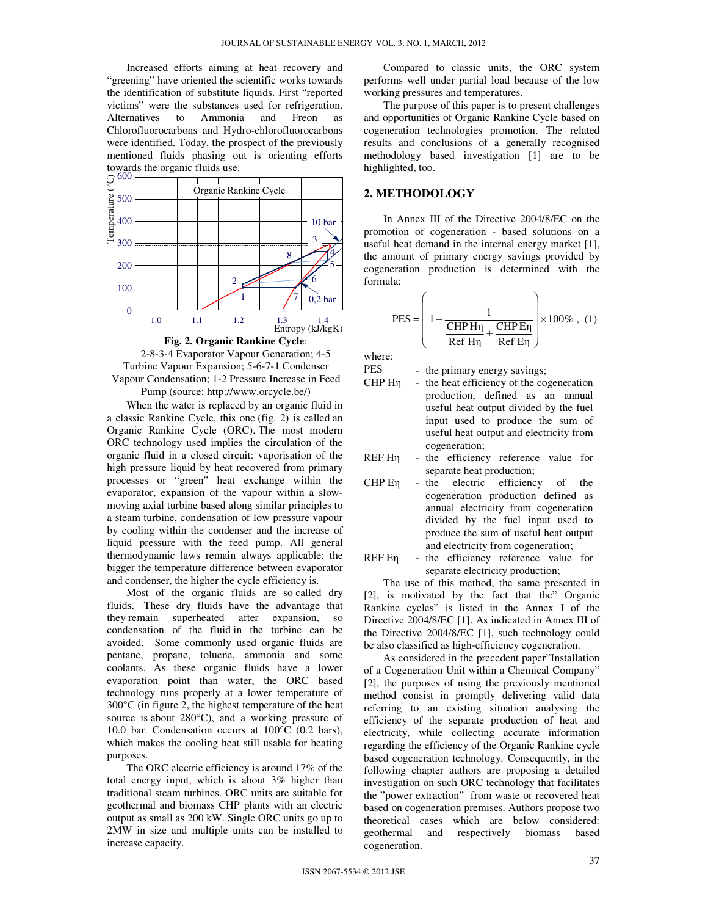Increased efforts aiming at heat recovery and "greening" have oriented the scientific works towards the identification of substitute liquids. First "reported victims" were the substances used for refrigeration. Alternatives to Ammonia and Freon as Chlorofluorocarbons and Hydro-chlorofluorocarbons were identified. Today, the prospect of the previously mentioned fluids phasing out is orienting efforts towards the organic fluids use.





When the water is replaced by an organic fluid in a classic Rankine Cycle, this one (fig. 2) is called an Organic Rankine Cycle (ORC). The most modern ORC technology used implies the circulation of the organic fluid in a closed circuit: vaporisation of the high pressure liquid by heat recovered from primary processes or "green" heat exchange within the evaporator, expansion of the vapour within a slowmoving axial turbine based along similar principles to a steam turbine, condensation of low pressure vapour by cooling within the condenser and the increase of liquid pressure with the feed pump. All general thermodynamic laws remain always applicable: the bigger the temperature difference between evaporator and condenser, the higher the cycle efficiency is.

Most of the organic fluids are so called dry fluids. These dry fluids have the advantage that they remain superheated after expansion, so condensation of the fluid in the turbine can be avoided. Some commonly used organic fluids are pentane, propane, toluene, ammonia and some coolants. As these organic fluids have a lower evaporation point than water, the ORC based technology runs properly at a lower temperature of 300°C (in figure 2, the highest temperature of the heat source is about 280°C), and a working pressure of 10.0 bar. Condensation occurs at 100°C (0.2 bars), which makes the cooling heat still usable for heating purposes.

The ORC electric efficiency is around 17% of the total energy input, which is about 3% higher than traditional steam turbines. ORC units are suitable for geothermal and biomass CHP plants with an electric output as small as 200 kW. Single ORC units go up to 2MW in size and multiple units can be installed to increase capacity.

Compared to classic units, the ORC system performs well under partial load because of the low working pressures and temperatures.

The purpose of this paper is to present challenges and opportunities of Organic Rankine Cycle based on cogeneration technologies promotion. The related results and conclusions of a generally recognised methodology based investigation [1] are to be highlighted, too.

## **2. METHODOLOGY**

In Annex III of the Directive 2004/8/EC on the promotion of cogeneration - based solutions on a useful heat demand in the internal energy market [1], the amount of primary energy savings provided by cogeneration production is determined with the formula:

$$
PES = \left(1 - \frac{1}{\frac{\text{CHP H}\eta}{\text{Ref H}\eta} + \frac{\text{CHP E}\eta}{\text{Ref E}\eta}}\right) \times 100\% \text{ , (1)}
$$

where:

PES - the primary energy savings;

CHP Hη - the heat efficiency of the cogeneration production, defined as an annual useful heat output divided by the fuel input used to produce the sum of useful heat output and electricity from cogeneration;

REF Hη - the efficiency reference value for separate heat production;

- CHP Eη the electric efficiency of the cogeneration production defined as annual electricity from cogeneration divided by the fuel input used to produce the sum of useful heat output and electricity from cogeneration;
- REF Eη the efficiency reference value for separate electricity production;

The use of this method, the same presented in [2], is motivated by the fact that the" Organic Rankine cycles" is listed in the Annex I of the Directive 2004/8/EC [1]. As indicated in Annex III of the Directive 2004/8/EC [1], such technology could be also classified as high-efficiency cogeneration.

As considered in the precedent paper"Installation of a Cogeneration Unit within a Chemical Company" [2], the purposes of using the previously mentioned method consist in promptly delivering valid data referring to an existing situation analysing the efficiency of the separate production of heat and electricity, while collecting accurate information regarding the efficiency of the Organic Rankine cycle based cogeneration technology. Consequently, in the following chapter authors are proposing a detailed investigation on such ORC technology that facilitates the "power extraction" from waste or recovered heat based on cogeneration premises. Authors propose two theoretical cases which are below considered: geothermal and respectively biomass based cogeneration.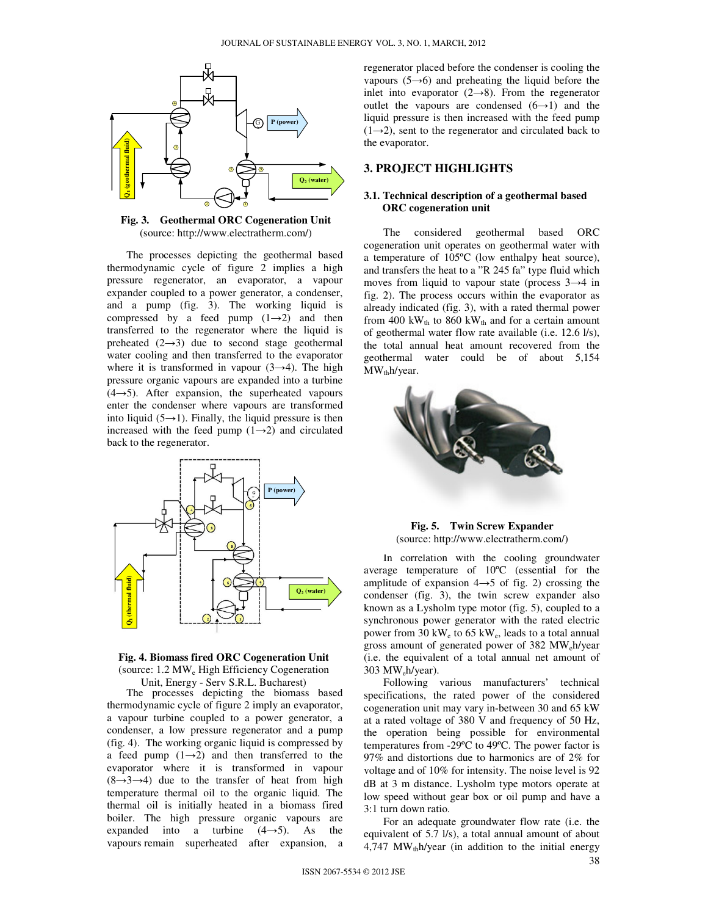

**Fig. 3. Geothermal ORC Cogeneration Unit**  (source: http://www.electratherm.com/)

The processes depicting the geothermal based thermodynamic cycle of figure 2 implies a high pressure regenerator, an evaporator, a vapour expander coupled to a power generator, a condenser, and a pump (fig. 3). The working liquid is compressed by a feed pump  $(1\rightarrow 2)$  and then transferred to the regenerator where the liquid is preheated  $(2\rightarrow 3)$  due to second stage geothermal water cooling and then transferred to the evaporator where it is transformed in vapour  $(3\rightarrow 4)$ . The high pressure organic vapours are expanded into a turbine  $(4 \rightarrow 5)$ . After expansion, the superheated vapours enter the condenser where vapours are transformed into liquid (5 $\rightarrow$ 1). Finally, the liquid pressure is then increased with the feed pump  $(1\rightarrow 2)$  and circulated back to the regenerator.





The processes depicting the biomass based thermodynamic cycle of figure 2 imply an evaporator, a vapour turbine coupled to a power generator, a condenser, a low pressure regenerator and a pump (fig. 4). The working organic liquid is compressed by a feed pump  $(1\rightarrow 2)$  and then transferred to the evaporator where it is transformed in vapour  $(8\rightarrow 3\rightarrow 4)$  due to the transfer of heat from high temperature thermal oil to the organic liquid. The thermal oil is initially heated in a biomass fired boiler. The high pressure organic vapours are expanded into a turbine  $(4\rightarrow 5)$ . As the vapours remain superheated after expansion, a

regenerator placed before the condenser is cooling the vapours (5→6) and preheating the liquid before the inlet into evaporator  $(2 \rightarrow 8)$ . From the regenerator outlet the vapours are condensed  $(6\rightarrow 1)$  and the liquid pressure is then increased with the feed pump  $(1\rightarrow 2)$ , sent to the regenerator and circulated back to the evaporator.

# **3. PROJECT HIGHLIGHTS**

### **3.1. Technical description of a geothermal based ORC cogeneration unit**

The considered geothermal based ORC cogeneration unit operates on geothermal water with a temperature of 105ºC (low enthalpy heat source), and transfers the heat to a "R 245 fa" type fluid which moves from liquid to vapour state (process 3→4 in fig. 2). The process occurs within the evaporator as already indicated (fig. 3), with a rated thermal power from 400 kW<sub>th</sub> to 860 kW<sub>th</sub> and for a certain amount of geothermal water flow rate available (i.e. 12.6 l/s), the total annual heat amount recovered from the geothermal water could be of about 5,154  $MW<sub>th</sub>h/year.$ 



**Fig. 5. Twin Screw Expander**  (source: http://www.electratherm.com/)

In correlation with the cooling groundwater average temperature of 10ºC (essential for the amplitude of expansion  $4 \rightarrow 5$  of fig. 2) crossing the condenser (fig. 3), the twin screw expander also known as a Lysholm type motor (fig. 5), coupled to a synchronous power generator with the rated electric power from 30 kW<sub>e</sub> to 65 kW<sub>e</sub>, leads to a total annual gross amount of generated power of 382 MW<sub>e</sub>h/year (i.e. the equivalent of a total annual net amount of  $303$  MW<sub>e</sub>h/year).

Following various manufacturers' technical specifications, the rated power of the considered cogeneration unit may vary in-between 30 and 65 kW at a rated voltage of 380 V and frequency of 50 Hz, the operation being possible for environmental temperatures from -29ºC to 49ºC. The power factor is 97% and distortions due to harmonics are of 2% for voltage and of 10% for intensity. The noise level is 92 dB at 3 m distance. Lysholm type motors operate at low speed without gear box or oil pump and have a 3:1 turn down ratio.

For an adequate groundwater flow rate (i.e. the equivalent of 5.7 l/s), a total annual amount of about 4,747 MW $_{\text{th}}$ h/year (in addition to the initial energy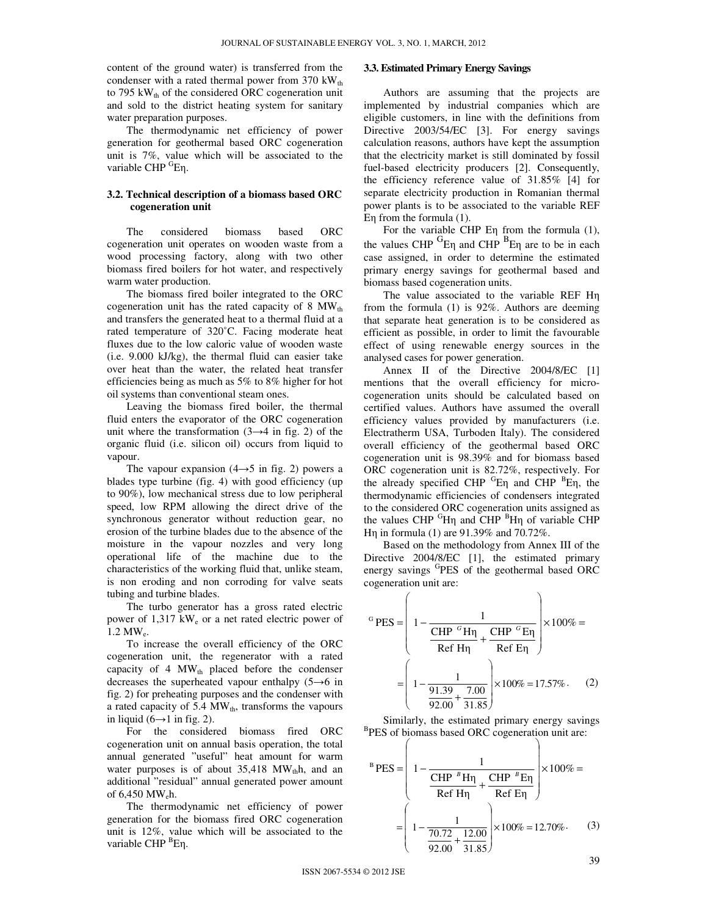content of the ground water) is transferred from the condenser with a rated thermal power from 370  $kW_{th}$ to 795 kW $_{\text{th}}$  of the considered ORC cogeneration unit and sold to the district heating system for sanitary water preparation purposes.

The thermodynamic net efficiency of power generation for geothermal based ORC cogeneration unit is 7%, value which will be associated to the variable CHP <sup>G</sup>En.

#### **3.2. Technical description of a biomass based ORC cogeneration unit**

The considered biomass based ORC cogeneration unit operates on wooden waste from a wood processing factory, along with two other biomass fired boilers for hot water, and respectively warm water production.

The biomass fired boiler integrated to the ORC cogeneration unit has the rated capacity of 8  $MW_{th}$ and transfers the generated heat to a thermal fluid at a rated temperature of 320˚C. Facing moderate heat fluxes due to the low caloric value of wooden waste (i.e. 9.000 kJ/kg), the thermal fluid can easier take over heat than the water, the related heat transfer efficiencies being as much as 5% to 8% higher for hot oil systems than conventional steam ones.

Leaving the biomass fired boiler, the thermal fluid enters the evaporator of the ORC cogeneration unit where the transformation  $(3 \rightarrow 4$  in fig. 2) of the organic fluid (i.e. silicon oil) occurs from liquid to vapour.

The vapour expansion  $(4 \rightarrow 5)$  in fig. 2) powers a blades type turbine (fig. 4) with good efficiency (up to 90%), low mechanical stress due to low peripheral speed, low RPM allowing the direct drive of the synchronous generator without reduction gear, no erosion of the turbine blades due to the absence of the moisture in the vapour nozzles and very long operational life of the machine due to the characteristics of the working fluid that, unlike steam, is non eroding and non corroding for valve seats tubing and turbine blades.

The turbo generator has a gross rated electric power of 1,317 kW<sup>e</sup> or a net rated electric power of  $1.2 \text{ MW}_e$ .

To increase the overall efficiency of the ORC cogeneration unit, the regenerator with a rated capacity of 4  $MW<sub>th</sub>$  placed before the condenser decreases the superheated vapour enthalpy (5→6 in fig. 2) for preheating purposes and the condenser with a rated capacity of 5.4 MW<sub>th</sub>, transforms the vapours in liquid ( $6 \rightarrow 1$  in fig. 2).

For the considered biomass fired ORC cogeneration unit on annual basis operation, the total annual generated "useful" heat amount for warm water purposes is of about  $35,418$  MW<sub>th</sub>h, and an additional "residual" annual generated power amount of 6,450 MWeh.

The thermodynamic net efficiency of power generation for the biomass fired ORC cogeneration unit is 12%, value which will be associated to the variable CHP <sup>B</sup>Eη.

## **3.3. Estimated Primary Energy Savings**

Authors are assuming that the projects are implemented by industrial companies which are eligible customers, in line with the definitions from Directive 2003/54/EC [3]. For energy savings calculation reasons, authors have kept the assumption that the electricity market is still dominated by fossil fuel-based electricity producers [2]. Consequently, the efficiency reference value of 31.85% [4] for separate electricity production in Romanian thermal power plants is to be associated to the variable REF Eη from the formula (1).

For the variable CHP Eη from the formula (1), the values CHP  ${}^{G}E\eta$  and CHP  ${}^{B}E\eta$  are to be in each case assigned, in order to determine the estimated primary energy savings for geothermal based and biomass based cogeneration units.

The value associated to the variable REF Hη from the formula (1) is 92%. Authors are deeming that separate heat generation is to be considered as efficient as possible, in order to limit the favourable effect of using renewable energy sources in the analysed cases for power generation.

Annex II of the Directive 2004/8/EC [1] mentions that the overall efficiency for microcogeneration units should be calculated based on certified values. Authors have assumed the overall efficiency values provided by manufacturers (i.e. Electratherm USA, Turboden Italy). The considered overall efficiency of the geothermal based ORC cogeneration unit is 98.39% and for biomass based ORC cogeneration unit is 82.72%, respectively. For the already specified CHP  ${}^{G}E\eta$  and CHP  ${}^{B}E\eta$ , the thermodynamic efficiencies of condensers integrated to the considered ORC cogeneration units assigned as the values CHP  ${}^{G}H\eta$  and CHP  ${}^{B}H\eta$  of variable CHP Hη in formula (1) are 91.39% and 70.72%.

Based on the methodology from Annex III of the Directive 2004/8/EC [1], the estimated primary energy savings <sup>G</sup>PES of the geothermal based ORC cogeneration unit are:

$$
{}^{G} PES = \left( 1 - \frac{1}{\frac{CHP}{CHP} \left( \frac{H\eta}{H\eta} + \frac{CHP}{H} \left( \frac{H\eta}{H\eta} \right) \right)} \times 100\% = \frac{1}{\frac{91.39}{92.00} + \frac{7.00}{31.85}} \right) \times 100\% = 17.57\%.
$$
 (2)

Similarly, the estimated primary energy savings <sup>B</sup>PES of biomass based ORC cogeneration unit are:

$$
{}^{B} PES = \left( 1 - \frac{1}{\frac{CHP^{B} H \eta}{Ref H \eta} + \frac{CHP^{B} E \eta}{Ref E \eta}} \right) \times 100\% =
$$

$$
= \left( 1 - \frac{1}{\frac{70.72}{92.00} + \frac{12.00}{31.85}} \right) \times 100\% = 12.70\%.
$$
 (3)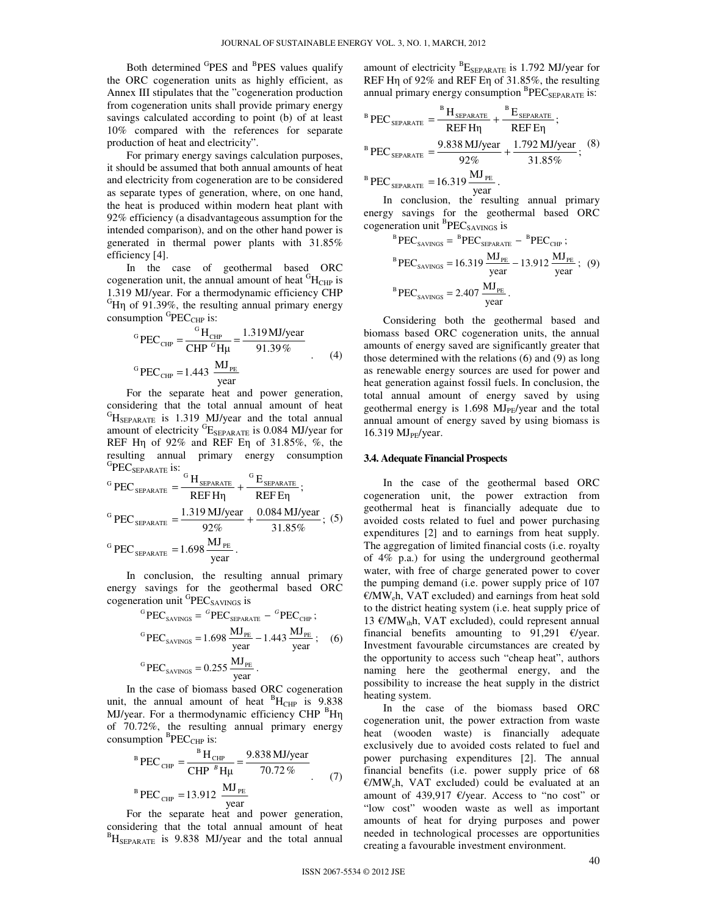Both determined <sup>G</sup>PES and <sup>B</sup>PES values qualify the ORC cogeneration units as highly efficient, as Annex III stipulates that the "cogeneration production from cogeneration units shall provide primary energy savings calculated according to point (b) of at least 10% compared with the references for separate production of heat and electricity".

For primary energy savings calculation purposes, it should be assumed that both annual amounts of heat and electricity from cogeneration are to be considered as separate types of generation, where, on one hand, the heat is produced within modern heat plant with 92% efficiency (a disadvantageous assumption for the intended comparison), and on the other hand power is generated in thermal power plants with 31.85% efficiency [4].

In the case of geothermal based ORC cogeneration unit, the annual amount of heat  ${}^{G}H_{CHP}$  is 1.319 MJ/year. For a thermodynamic efficiency CHP  ${}^{G}$ Hη of 91.39%, the resulting annual primary energy consumption  ${}^{\text{G}}\text{PEC}_{\text{CHP}}$  is:

<sup>G</sup>PEC<sub>CHP</sub> = 
$$
\frac{^{\text{G}}H_{\text{CHP}}}{\text{CHP}^{G}H\mu} = \frac{1.319 \text{ MJ/year}}{91.39\%}
$$
 (4)  
\n<sup>G</sup>PEC<sub>CHP</sub> = 1.443  $\frac{\text{MJ}_{\text{PE}}}{\text{year}}$ 

For the separate heat and power generation, considering that the total annual amount of heat  ${}^{G}H_{\text{SEPARATE}}$  is 1.319 MJ/year and the total annual amount of electricity  ${}^{G}E_{\text{SEPARATE}}$  is 0.084 MJ/year for REF Hη of 92% and REF Eη of 31.85%, %, the resulting annual primary energy consumption  $^{\mathrm{G}}\!\mathrm{PEC}_{\mathrm{SEPARATE}}$  is:

<sup>G</sup> PEC<sub>SEPARATE</sub> = 
$$
\frac{^G H_{SEPARATE}}{REF H\eta} + \frac{^G E_{SEPARATE}}{REF E\eta}
$$
;  
\n<sup>G</sup> PEC<sub>SEPARATE</sub> =  $\frac{1.319 \text{ MJ/year}}{92\%} + \frac{0.084 \text{ MJ/year}}{31.85\%}$ ; (5)  
\n<sup>G</sup> PEC<sub>SEPARATE</sub> = 1.698  $\frac{\text{MJ}_{PE}}{\text{year}}$ .

In conclusion, the resulting annual primary energy savings for the geothermal based ORC cogeneration unit <sup>G</sup>PEC<sub>SAVINGS</sub> is

<sup>G</sup>PEC<sub>SAVINGS</sub> = <sup>G</sup>PEC<sub>SEPARATE</sub> - <sup>G</sup>PEC<sub>CHP</sub>;  
\n<sup>G</sup>PEC<sub>SAVINGS</sub> = 1.698 
$$
\frac{MJ_{PE}}{year}
$$
 - 1.443  $\frac{MJ_{PE}}{year}$  ; (6)  
\n<sup>G</sup>PEC<sub>SAVINGS</sub> = 0.255  $\frac{MJ_{PE}}{year}$ .

In the case of biomass based ORC cogeneration unit, the annual amount of heat  ${}^{B}H_{CHP}$  is 9.838 MJ/year. For a thermodynamic efficiency CHP <sup>B</sup>H<sub>n</sub> of 70.72%, the resulting annual primary energy consumption  ${}^{B}$ PEC<sub>CHP</sub> is:

<sup>B</sup> PEC<sub>CHP</sub> = 
$$
\frac{{}^{B}H_{CHP}}{{CHP}^{B}H\mu} = \frac{9.838 \text{ MJ/year}}{70.72 \text{ %}}.
$$
 (7)  
<sup>B</sup> PEC<sub>CHP</sub> = 13.912  $\frac{\text{MJ}_{PE}}{\text{year}}$ 

For the separate heat and power generation, considering that the total annual amount of heat  ${}^{B}H_{\rm SEPARATE}$  is 9.838 MJ/year and the total annual

amount of electricity  ${}^{B}E_{\text{SEPARATE}}$  is 1.792 MJ/year for REF Hη of 92% and REF Eη of 31.85%, the resulting annual primary energy consumption <sup>B</sup>PEC<sub>SEPARATE</sub> is:

<sup>B</sup> PEC<sub>SEPARATE</sub> = 
$$
\frac{{}^{B}H_{SEPARATE}}{{REFH\eta}} + \frac{{}^{B}E_{SEPARATE}}{{REFE\eta}};
$$
  
\n<sup>B</sup> PEC<sub>SEPARATE</sub> =  $\frac{9.838 \text{ MJ/year}}{92\%} + \frac{1.792 \text{ MJ/year}}{31.85\%};$  (8)

$$
^{B} \text{PEC}_{\text{SEPARATE}} = 16.319 \frac{\text{MJ}_{\text{PE}}}{\text{year}}.
$$

In conclusion, the resulting annual primary energy savings for the geothermal based ORC cogeneration unit  ${}^{B}$ PEC<sub>SAVINGS</sub> is

<sup>B</sup>PEC<sub>SAVINGS</sub> = <sup>B</sup>PEC<sub>SEPARATE</sub> - <sup>B</sup>PEC<sub>CHP</sub> ;  
\n<sup>B</sup>PEC<sub>SAVINGS</sub> = 16.319 
$$
\frac{MJ_{PE}}{year}
$$
 - 13.912  $\frac{MJ_{PE}}{year}$  ; (9)  
\n<sup>B</sup>PEC<sub>SAVINGS</sub> = 2.407  $\frac{MJ_{PE}}{year}$ .

Considering both the geothermal based and biomass based ORC cogeneration units, the annual amounts of energy saved are significantly greater that those determined with the relations (6) and (9) as long as renewable energy sources are used for power and heat generation against fossil fuels. In conclusion, the total annual amount of energy saved by using geothermal energy is  $1.698 \text{ MJ}_{\text{PE}}$ /year and the total annual amount of energy saved by using biomass is 16.319  $MJ<sub>PE</sub>/year$ .

#### **3.4. Adequate Financial Prospects**

In the case of the geothermal based ORC cogeneration unit, the power extraction from geothermal heat is financially adequate due to avoided costs related to fuel and power purchasing expenditures [2] and to earnings from heat supply. The aggregation of limited financial costs (i.e. royalty of 4% p.a.) for using the underground geothermal water, with free of charge generated power to cover the pumping demand (i.e. power supply price of 107  $E/MW_e$ h, VAT excluded) and earnings from heat sold to the district heating system (i.e. heat supply price of 13 €/MW<sub>th</sub>h, VAT excluded), could represent annual financial benefits amounting to 91,291  $\epsilon$ /year. Investment favourable circumstances are created by the opportunity to access such "cheap heat", authors naming here the geothermal energy, and the possibility to increase the heat supply in the district heating system.

In the case of the biomass based ORC cogeneration unit, the power extraction from waste heat (wooden waste) is financially adequate exclusively due to avoided costs related to fuel and power purchasing expenditures [2]. The annual financial benefits (i.e. power supply price of 68 €/MWeh, VAT excluded) could be evaluated at an amount of 439,917  $\epsilon$ /year. Access to "no cost" or "low cost" wooden waste as well as important amounts of heat for drying purposes and power needed in technological processes are opportunities creating a favourable investment environment.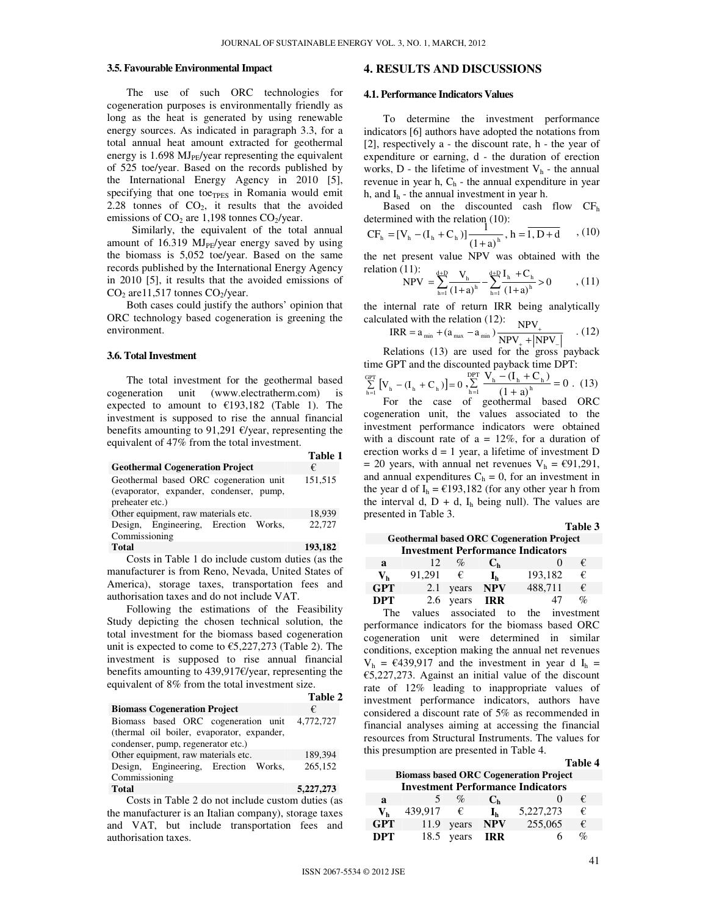#### **3.5. Favourable Environmental Impact**

The use of such ORC technologies for cogeneration purposes is environmentally friendly as long as the heat is generated by using renewable energy sources. As indicated in paragraph 3.3, for a total annual heat amount extracted for geothermal energy is  $1.698 \mathrm{MJ}_{\text{PF}}$ /year representing the equivalent of 525 toe/year. Based on the records published by the International Energy Agency in 2010 [5], specifying that one to $e_{TPES}$  in Romania would emit 2.28 tonnes of  $CO<sub>2</sub>$ , it results that the avoided emissions of  $CO<sub>2</sub>$  are 1,198 tonnes  $CO<sub>2</sub>/year$ .

 Similarly, the equivalent of the total annual amount of 16.319  $MI_{PE}/year$  energy saved by using the biomass is 5,052 toe/year. Based on the same records published by the International Energy Agency in 2010 [5], it results that the avoided emissions of  $CO<sub>2</sub>$  are 11,517 tonnes  $CO<sub>2</sub>/year$ .

Both cases could justify the authors' opinion that ORC technology based cogeneration is greening the environment.

## **3.6. Total Investment**

The total investment for the geothermal based cogeneration unit (www.electratherm.com) is expected to amount to  $£193,182$  (Table 1). The investment is supposed to rise the annual financial benefits amounting to 91,291  $\epsilon$ /year, representing the equivalent of 47% from the total investment.

|                                         | <b>Table 1</b> |
|-----------------------------------------|----------------|
| <b>Geothermal Cogeneration Project</b>  | €              |
| Geothermal based ORC cogeneration unit  | 151,515        |
| (evaporator, expander, condenser, pump, |                |
| preheater etc.)                         |                |
| Other equipment, raw materials etc.     | 18,939         |
| Design, Engineering, Erection Works,    | 22,727         |
| Commissioning                           |                |
| <b>Total</b>                            | 193.182        |

Costs in Table 1 do include custom duties (as the manufacturer is from Reno, Nevada, United States of America), storage taxes, transportation fees and authorisation taxes and do not include VAT.

Following the estimations of the Feasibility Study depicting the chosen technical solution, the total investment for the biomass based cogeneration unit is expected to come to  $\epsilon$ 5,227,273 (Table 2). The investment is supposed to rise annual financial benefits amounting to 439,917€/year, representing the equivalent of 8% from the total investment size.

|                                            | Table 2   |
|--------------------------------------------|-----------|
| <b>Biomass Cogeneration Project</b>        | €         |
| Biomass based ORC cogeneration unit        | 4,772,727 |
| (thermal oil boiler, evaporator, expander, |           |
| condenser, pump, regenerator etc.)         |           |
| Other equipment, raw materials etc.        | 189,394   |
| Design, Engineering, Erection Works,       | 265,152   |
| Commissioning                              |           |
| <b>Total</b>                               | 5,227,273 |

Costs in Table 2 do not include custom duties (as the manufacturer is an Italian company), storage taxes and VAT, but include transportation fees and authorisation taxes.

## **4. RESULTS AND DISCUSSIONS**

#### **4.1. Performance Indicators Values**

To determine the investment performance indicators [6] authors have adopted the notations from [2], respectively a - the discount rate, h - the year of expenditure or earning, d - the duration of erection works,  $D$  - the lifetime of investment  $V_h$  - the annual revenue in year h,  $C_h$  - the annual expenditure in year h, and  $I_h$  - the annual investment in year h.

Based on the discounted cash flow  $CF<sub>h</sub>$ determined with the relation (10):<br>  $\begin{bmatrix} G_E & (M_A + G_A) \end{bmatrix}^1$ 

$$
CFh = [Vh - (Ih + Ch)] \frac{1}{(1+a)h}, h = \overline{1, D+d} \quad , (10)
$$

the net present value NPV was obtained with the relation (11):  $\psi_h = V_h + C$ 

$$
NPV = \sum_{h=1}^{\alpha+1} \frac{V_h}{(1+a)^h} - \sum_{h=1}^{\alpha+1} \frac{I_h + C_h}{(1+a)^h} > 0 \qquad , \text{(11)}
$$

calculated with the relation (12):  $NPV$ the internal rate of return IRR being analytically

$$
IRR = a_{min} + (a_{max} - a_{min}) \frac{NPV_{+}}{NPV_{+} + |NPV_{-}|} \quad . (12)
$$

Relations (13) are used for the gross payback time GPT and the discounted payback time DPT:

$$
\sum_{h=1}^{GPT} [V_h - (I_h + C_h)] = 0 \sum_{h=1}^{DPT} \frac{V_h - (I_h + C_h)}{(1 + a)^h} = 0. \quad (13)
$$

For the case of geothermal based ORC cogeneration unit, the values associated to the investment performance indicators were obtained with a discount rate of  $a = 12\%$ , for a duration of erection works  $d = 1$  year, a lifetime of investment D = 20 years, with annual net revenues  $V_h$  = €91,291, and annual expenditures  $C_h = 0$ , for an investment in the year d of  $I_h = \text{\textsterling}193,182$  (for any other year h from the interval d,  $D + d$ ,  $I_h$  being null). The values are presented in Table 3.

| <b>Geothermal based ORC Cogeneration Project</b> |        |           |                |         |                 |  |  |
|--------------------------------------------------|--------|-----------|----------------|---------|-----------------|--|--|
| <b>Investment Performance Indicators</b>         |        |           |                |         |                 |  |  |
| a                                                | 12     | %         | C <sub>h</sub> |         | €               |  |  |
| Vh                                               | 91.291 | €         | հ.             | 193,182 | €               |  |  |
| <b>GPT</b>                                       | 2.1    | years     | <b>NPV</b>     | 488.711 | €               |  |  |
| <b>DPT</b>                                       |        | 2.6 years | IRR            | 47      | $\mathcal{O}_D$ |  |  |
| $\sim$                                           |        |           |                |         |                 |  |  |

The values associated to the investment performance indicators for the biomass based ORC cogeneration unit were determined in similar conditions, exception making the annual net revenues  $V_h$  = €439,917 and the investment in year d I<sub>h</sub> = €5,227,273. Against an initial value of the discount rate of 12% leading to inappropriate values of investment performance indicators, authors have considered a discount rate of 5% as recommended in financial analyses aiming at accessing the financial resources from Structural Instruments. The values for this presumption are presented in Table 4.

#### **Table 4**

**Table 3** 

| <b>Biomass based ORC Cogeneration Project</b> |         |       |                  |           |   |  |
|-----------------------------------------------|---------|-------|------------------|-----------|---|--|
| <b>Investment Performance Indicators</b>      |         |       |                  |           |   |  |
| a                                             |         | $\%$  | C <sub>h</sub>   |           | € |  |
| $\mathbf{V}_{\mathbf{h}}$                     | 439.917 | €     | $\mathbf{I}_{h}$ | 5,227,273 | € |  |
| <b>GPT</b>                                    | 11.9    | years | <b>NPV</b>       | 255,065   | € |  |
| <b>DPT</b>                                    | 18.5    | years | IRR.             |           |   |  |